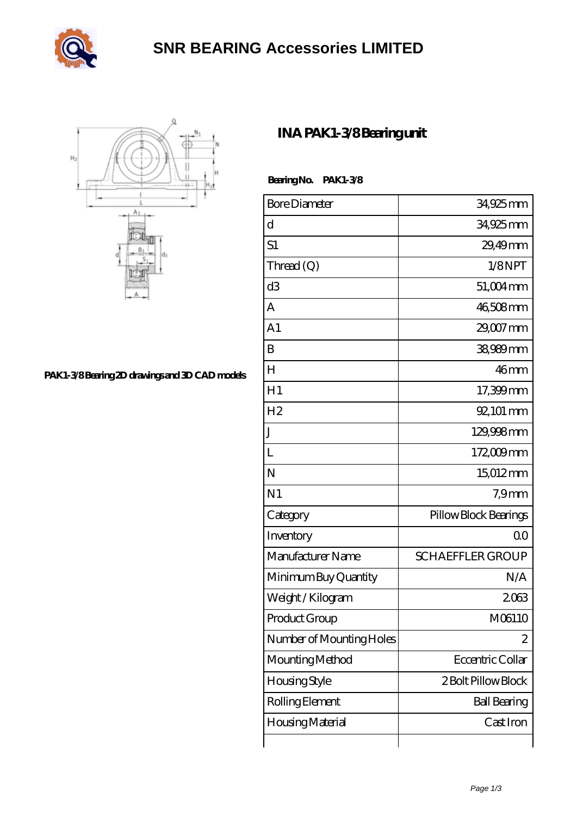



[PAK1-3/8 Bearing 2D drawings and 3D CAD models](https://m.arunrecommends.com/pic-65099980.html)

## **[INA PAK1-3/8 Bearing unit](https://m.arunrecommends.com/ina-pak1-3-8-bearing/)**

 **Bearing No. PAK1-3/8**

| <b>Bore Diameter</b>     | 34,925mm                |
|--------------------------|-------------------------|
| d                        | 34,925 mm               |
| S1                       | 29,49mm                 |
| Thread (Q)               | 1/8NPT                  |
| d3                       | 51,004mm                |
| A                        | 46,508mm                |
| A1                       | 29,007 mm               |
| B                        | 38,989 mm               |
| $H_{\rm}$                | 46mm                    |
| H1                       | 17,399mm                |
| H <sub>2</sub>           | 92, 101 mm              |
| J                        | 129,998mm               |
| L                        | 172,009mm               |
| N                        | 15012mm                 |
| N <sub>1</sub>           | 7.9 <sub>mm</sub>       |
| Category                 | Pillow Block Bearings   |
| Inventory                | 0 <sup>0</sup>          |
| Manufacturer Name        | <b>SCHAEFFLER GROUP</b> |
| Minimum Buy Quantity     | N/A                     |
| Weight / Kilogram        | 2063                    |
| Product Group            | M06110                  |
| Number of Mounting Holes | $\mathbf{z}$            |
| Mounting Method          | Eccentric Collar        |
| <b>Housing Style</b>     | 2 Bolt Pillow Block     |
| Rolling Element          | <b>Ball Bearing</b>     |
| Housing Material         | Cast Iron               |
|                          |                         |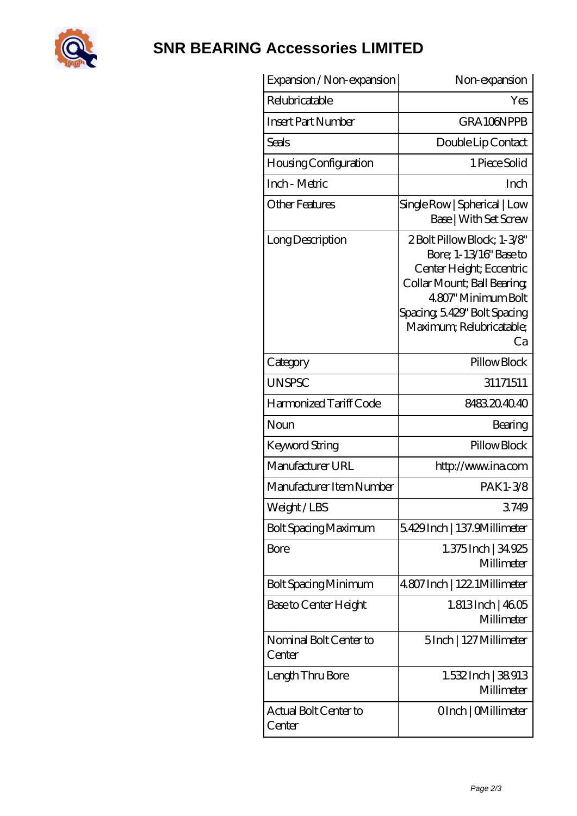

## **[SNR BEARING Accessories LIMITED](https://m.arunrecommends.com)**

| Expansion / Non-expansion        | Non-expansion                                                                                                                                                                                            |
|----------------------------------|----------------------------------------------------------------------------------------------------------------------------------------------------------------------------------------------------------|
| Relubricatable                   | Yes                                                                                                                                                                                                      |
| <b>Insert Part Number</b>        | GRA106NPPB                                                                                                                                                                                               |
| Seals                            | Double Lip Contact                                                                                                                                                                                       |
| <b>Housing Configuration</b>     | 1 Piece Solid                                                                                                                                                                                            |
| Inch - Metric                    | Inch                                                                                                                                                                                                     |
| <b>Other Features</b>            | Single Row   Spherical   Low<br>Base   With Set Screw                                                                                                                                                    |
| Long Description                 | 2Bolt Pillow Block; 1-3/8"<br>Bore; 1-13/16" Base to<br>Center Height; Eccentric<br>Collar Mount; Ball Bearing;<br>4.807' Minimum Bolt<br>Spacing, 5.429" Bolt Spacing<br>Maximum; Relubricatable;<br>Ca |
| Category                         | Pillow Block                                                                                                                                                                                             |
| <b>UNSPSC</b>                    | 31171511                                                                                                                                                                                                 |
| Harmonized Tariff Code           | 8483204040                                                                                                                                                                                               |
| Noun                             | Bearing                                                                                                                                                                                                  |
| Keyword String                   | Pillow Block                                                                                                                                                                                             |
| Manufacturer URL                 | http://www.ina.com                                                                                                                                                                                       |
| Manufacturer Item Number         | PAK1-3/8                                                                                                                                                                                                 |
| Weight / LBS                     | 3749                                                                                                                                                                                                     |
| Bolt Spacing Maximum             | 5.429Inch   137.9Millimeter                                                                                                                                                                              |
| Bore                             | 1.375Inch   34.925<br>Millimeter                                                                                                                                                                         |
| Bolt Spacing Minimum             | 4.807 Inch   122. 1 Millimeter                                                                                                                                                                           |
| Base to Center Height            | $1.813$ Inch   $4605$<br>Millimeter                                                                                                                                                                      |
| Nominal Bolt Center to<br>Center | 5Inch   127 Millimeter                                                                                                                                                                                   |
| Length Thru Bore                 | 1.532 Inch   38913<br>Millimeter                                                                                                                                                                         |
| Actual Bolt Center to<br>Center  | OInch   CMillimeter                                                                                                                                                                                      |